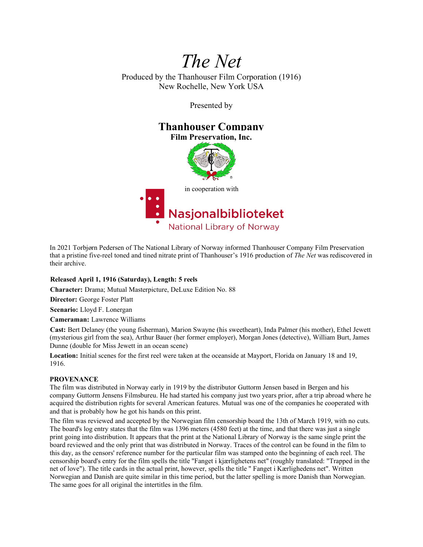# *The Net*

Produced by the Thanhouser Film Corporation (1916) New Rochelle, New York USA

Presented by

## **Thanhouser Company**

**Film Preservation, Inc.**





In 2021 Torbjørn Pedersen of The National Library of Norway informed Thanhouser Company Film Preservation that a pristine five-reel toned and tined nitrate print of Thanhouser's 1916 production of *The Net* was rediscovered in their archive.

### **Released April 1, 1916 (Saturday), Length: 5 reels**

**Character:** Drama; Mutual Masterpicture, DeLuxe Edition No. 88

**Director:** George Foster Platt

**Scenario:** Lloyd F. Lonergan

**Cameraman:** Lawrence Williams

**Cast:** Bert Delaney (the young fisherman), Marion Swayne (his sweetheart), Inda Palmer (his mother), Ethel Jewett (mysterious girl from the sea), Arthur Bauer (her former employer), Morgan Jones (detective), William Burt, James Dunne (double for Miss Jewett in an ocean scene)

**Location:** Initial scenes for the first reel were taken at the oceanside at Mayport, Florida on January 18 and 19, 1916.

#### **PROVENANCE**

The film was distributed in Norway early in 1919 by the distributor Guttorm Jensen based in Bergen and his company Guttorm Jensens Filmsbureu. He had started his company just two years prior, after a trip abroad where he acquired the distribution rights for several American features. Mutual was one of the companies he cooperated with and that is probably how he got his hands on this print.

The film was reviewed and accepted by the Norwegian film censorship board the 13th of March 1919, with no cuts. The board's log entry states that the film was 1396 meters (4580 feet) at the time, and that there was just a single print going into distribution. It appears that the print at the National Library of Norway is the same single print the board reviewed and the only print that was distributed in Norway. Traces of the control can be found in the film to this day, as the censors' reference number for the particular film was stamped onto the beginning of each reel. The censorship board's entry for the film spells the title "Fanget i kjærlighetens net" (roughly translated: "Trapped in the net of love"). The title cards in the actual print, however, spells the title " Fanget i Kærlighedens net". Written Norwegian and Danish are quite similar in this time period, but the latter spelling is more Danish than Norwegian. The same goes for all original the intertitles in the film.